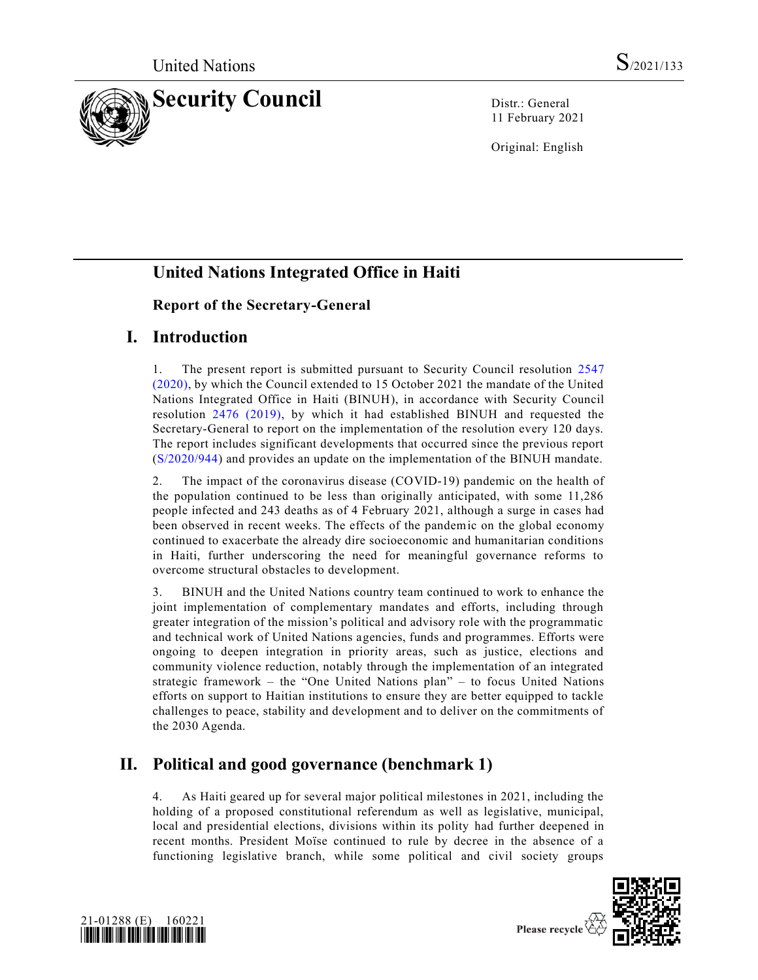

11 February 2021

Original: English

# **United Nations Integrated Office in Haiti**

#### **Report of the Secretary-General**

## **I. Introduction**

1. The present report is submitted pursuant to Security Council resolution [2547](https://undocs.org/en/S/RES/2547(2020))  [\(2020\),](https://undocs.org/en/S/RES/2547(2020)) by which the Council extended to 15 October 2021 the mandate of the United Nations Integrated Office in Haiti (BINUH), in accordance with Security Council resolution [2476 \(2019\),](https://undocs.org/en/S/RES/2476(2019)) by which it had established BINUH and requested the Secretary-General to report on the implementation of the resolution every 120 days. The report includes significant developments that occurred since the previous report [\(S/2020/944\)](https://undocs.org/en/S/2020/944) and provides an update on the implementation of the BINUH mandate.

2. The impact of the coronavirus disease (COVID-19) pandemic on the health of the population continued to be less than originally anticipated, with some 11,286 people infected and 243 deaths as of 4 February 2021, although a surge in cases had been observed in recent weeks. The effects of the pandemic on the global economy continued to exacerbate the already dire socioeconomic and humanitarian conditions in Haiti, further underscoring the need for meaningful governance reforms to overcome structural obstacles to development.

3. BINUH and the United Nations country team continued to work to enhance the joint implementation of complementary mandates and efforts, including through greater integration of the mission's political and advisory role with the programmatic and technical work of United Nations agencies, funds and programmes. Efforts were ongoing to deepen integration in priority areas, such as justice, elections and community violence reduction, notably through the implementation of an integrated strategic framework – the "One United Nations plan" – to focus United Nations efforts on support to Haitian institutions to ensure they are better equipped to tackle challenges to peace, stability and development and to deliver on the commitments of the 2030 Agenda.

# **II. Political and good governance (benchmark 1)**

4. As Haiti geared up for several major political milestones in 2021, including the holding of a proposed constitutional referendum as well as legislative, municipal, local and presidential elections, divisions within its polity had further deepened in recent months. President Moïse continued to rule by decree in the absence of a functioning legislative branch, while some political and civil society groups



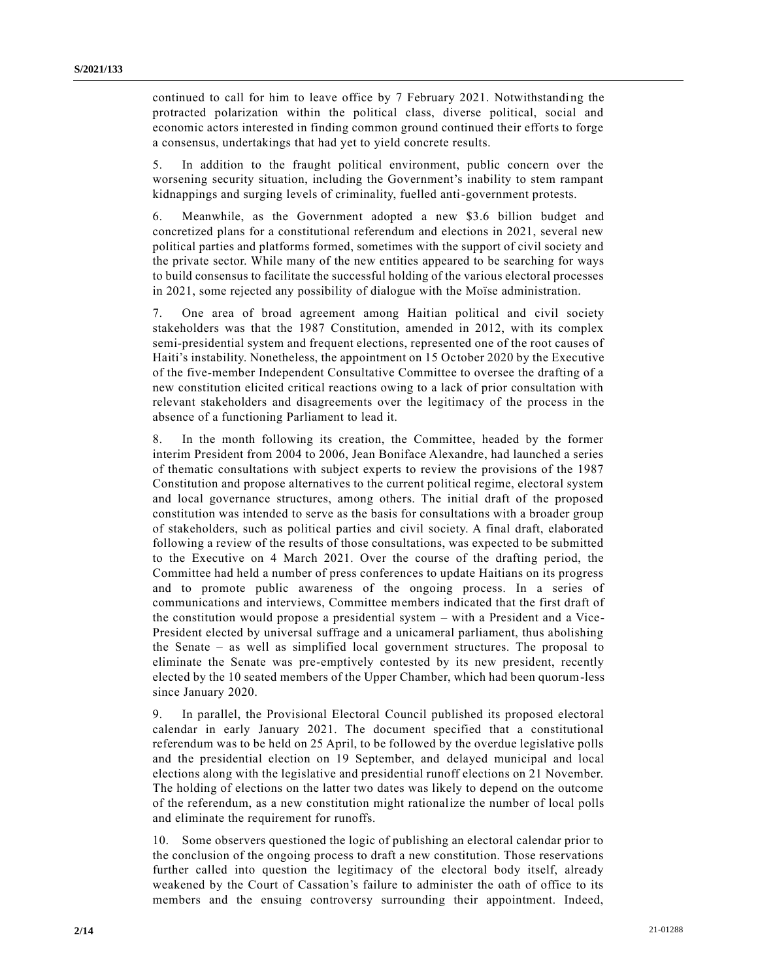continued to call for him to leave office by 7 February 2021. Notwithstanding the protracted polarization within the political class, diverse political, social and economic actors interested in finding common ground continued their efforts to forge a consensus, undertakings that had yet to yield concrete results.

5. In addition to the fraught political environment, public concern over the worsening security situation, including the Government's inability to stem rampant kidnappings and surging levels of criminality, fuelled anti-government protests.

6. Meanwhile, as the Government adopted a new \$3.6 billion budget and concretized plans for a constitutional referendum and elections in 2021, several new political parties and platforms formed, sometimes with the support of civil society and the private sector. While many of the new entities appeared to be searching for ways to build consensus to facilitate the successful holding of the various electoral processes in 2021, some rejected any possibility of dialogue with the Moïse administration.

7. One area of broad agreement among Haitian political and civil society stakeholders was that the 1987 Constitution, amended in 2012, with its complex semi-presidential system and frequent elections, represented one of the root causes of Haiti's instability. Nonetheless, the appointment on 15 October 2020 by the Executive of the five-member Independent Consultative Committee to oversee the drafting of a new constitution elicited critical reactions owing to a lack of prior consultation with relevant stakeholders and disagreements over the legitimacy of the process in the absence of a functioning Parliament to lead it.

8. In the month following its creation, the Committee, headed by the former interim President from 2004 to 2006, Jean Boniface Alexandre, had launched a series of thematic consultations with subject experts to review the provisions of the 1987 Constitution and propose alternatives to the current political regime, electoral system and local governance structures, among others. The initial draft of the proposed constitution was intended to serve as the basis for consultations with a broader group of stakeholders, such as political parties and civil society. A final draft, elaborated following a review of the results of those consultations, was expected to be submitted to the Executive on 4 March 2021. Over the course of the drafting period, the Committee had held a number of press conferences to update Haitians on its progress and to promote public awareness of the ongoing process. In a series of communications and interviews, Committee members indicated that the first draft of the constitution would propose a presidential system – with a President and a Vice-President elected by universal suffrage and a unicameral parliament, thus abolishing the Senate – as well as simplified local government structures. The proposal to eliminate the Senate was pre-emptively contested by its new president, recently elected by the 10 seated members of the Upper Chamber, which had been quorum-less since January 2020.

9. In parallel, the Provisional Electoral Council published its proposed electoral calendar in early January 2021. The document specified that a constitutional referendum was to be held on 25 April, to be followed by the overdue legislative polls and the presidential election on 19 September, and delayed municipal and local elections along with the legislative and presidential runoff elections on 21 November. The holding of elections on the latter two dates was likely to depend on the outcome of the referendum, as a new constitution might rationalize the number of local polls and eliminate the requirement for runoffs.

10. Some observers questioned the logic of publishing an electoral calendar prior to the conclusion of the ongoing process to draft a new constitution. Those reservations further called into question the legitimacy of the electoral body itself, already weakened by the Court of Cassation's failure to administer the oath of office to its members and the ensuing controversy surrounding their appointment. Indeed,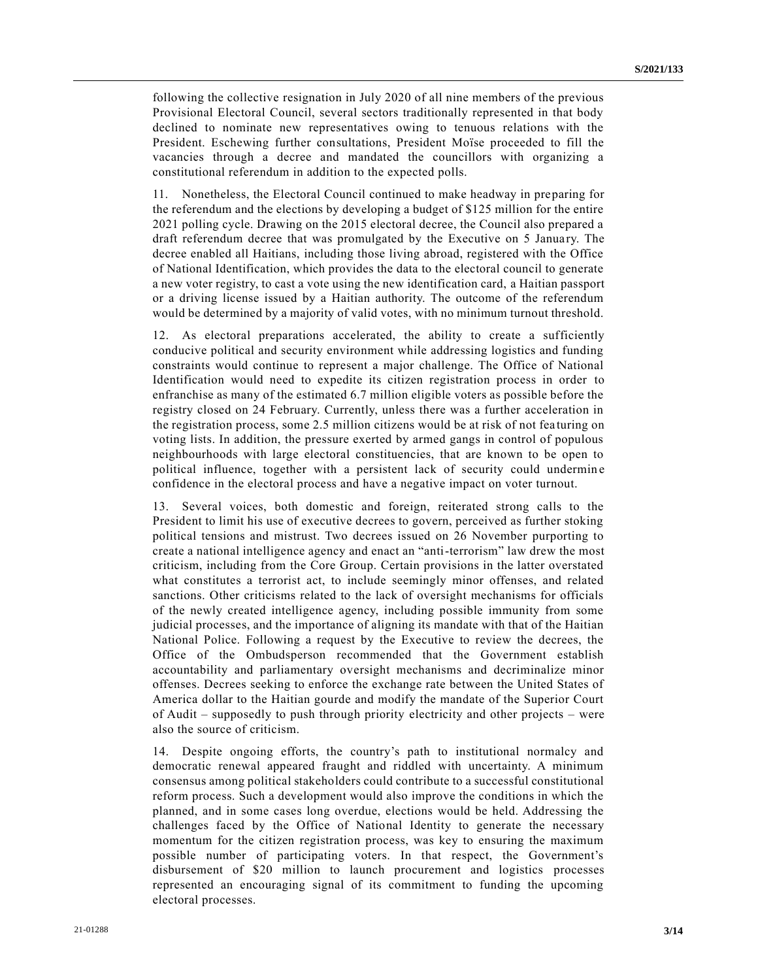following the collective resignation in July 2020 of all nine members of the previous Provisional Electoral Council, several sectors traditionally represented in that body declined to nominate new representatives owing to tenuous relations with the President. Eschewing further consultations, President Moïse proceeded to fill the vacancies through a decree and mandated the councillors with organizing a constitutional referendum in addition to the expected polls.

11. Nonetheless, the Electoral Council continued to make headway in preparing for the referendum and the elections by developing a budget of \$125 million for the entire 2021 polling cycle. Drawing on the 2015 electoral decree, the Council also prepared a draft referendum decree that was promulgated by the Executive on 5 January. The decree enabled all Haitians, including those living abroad, registered with the Office of National Identification, which provides the data to the electoral council to generate a new voter registry, to cast a vote using the new identification card, a Haitian passport or a driving license issued by a Haitian authority. The outcome of the referendum would be determined by a majority of valid votes, with no minimum turnout threshold.

12. As electoral preparations accelerated, the ability to create a sufficiently conducive political and security environment while addressing logistics and funding constraints would continue to represent a major challenge. The Office of National Identification would need to expedite its citizen registration process in order to enfranchise as many of the estimated 6.7 million eligible voters as possible before the registry closed on 24 February. Currently, unless there was a further acceleration in the registration process, some 2.5 million citizens would be at risk of not fea turing on voting lists. In addition, the pressure exerted by armed gangs in control of populous neighbourhoods with large electoral constituencies, that are known to be open to political influence, together with a persistent lack of security could undermine confidence in the electoral process and have a negative impact on voter turnout.

13. Several voices, both domestic and foreign, reiterated strong calls to the President to limit his use of executive decrees to govern, perceived as further stoking political tensions and mistrust. Two decrees issued on 26 November purporting to create a national intelligence agency and enact an "anti-terrorism" law drew the most criticism, including from the Core Group. Certain provisions in the latter overstated what constitutes a terrorist act, to include seemingly minor offenses, and related sanctions. Other criticisms related to the lack of oversight mechanisms for officials of the newly created intelligence agency, including possible immunity from some judicial processes, and the importance of aligning its mandate with that of the Haitian National Police. Following a request by the Executive to review the decrees, the Office of the Ombudsperson recommended that the Government establish accountability and parliamentary oversight mechanisms and decriminalize minor offenses. Decrees seeking to enforce the exchange rate between the United States of America dollar to the Haitian gourde and modify the mandate of the Superior Court of Audit – supposedly to push through priority electricity and other projects – were also the source of criticism.

14. Despite ongoing efforts, the country's path to institutional normalcy and democratic renewal appeared fraught and riddled with uncertainty. A minimum consensus among political stakeholders could contribute to a successful constitutional reform process. Such a development would also improve the conditions in which the planned, and in some cases long overdue, elections would be held. Addressing the challenges faced by the Office of National Identity to generate the necessary momentum for the citizen registration process, was key to ensuring the maximum possible number of participating voters. In that respect, the Government's disbursement of \$20 million to launch procurement and logistics processes represented an encouraging signal of its commitment to funding the upcoming electoral processes.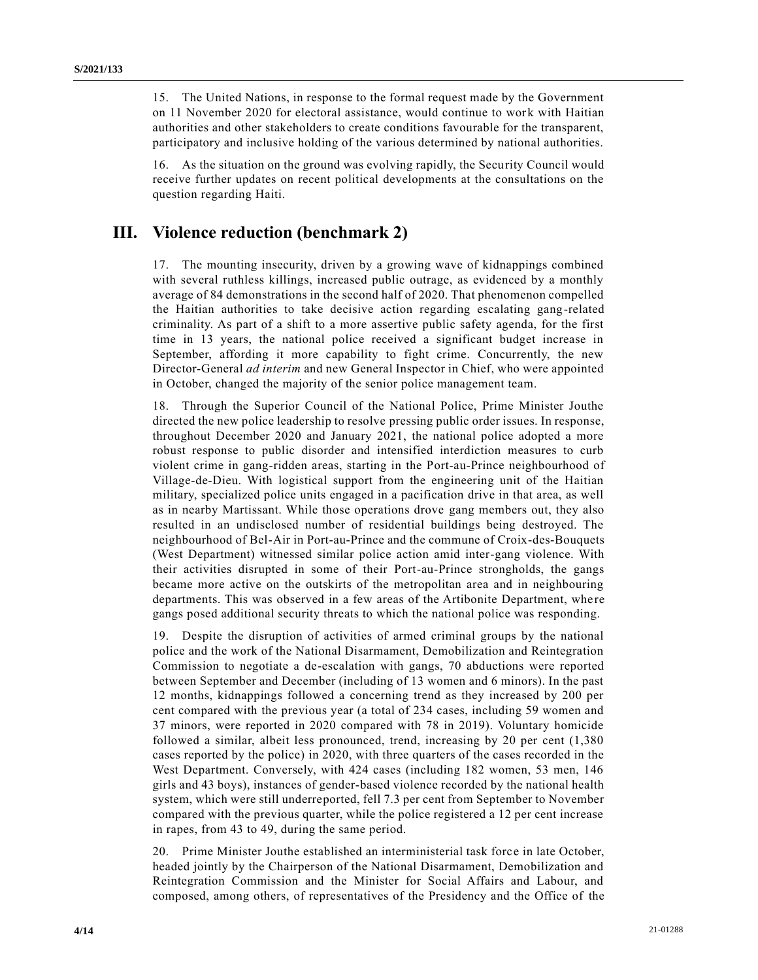15. The United Nations, in response to the formal request made by the Government on 11 November 2020 for electoral assistance, would continue to work with Haitian authorities and other stakeholders to create conditions favourable for the transparent, participatory and inclusive holding of the various determined by national authorities.

16. As the situation on the ground was evolving rapidly, the Security Council would receive further updates on recent political developments at the consultations on the question regarding Haiti.

#### **III. Violence reduction (benchmark 2)**

17. The mounting insecurity, driven by a growing wave of kidnappings combined with several ruthless killings, increased public outrage, as evidenced by a monthly average of 84 demonstrations in the second half of 2020. That phenomenon compelled the Haitian authorities to take decisive action regarding escalating gang-related criminality. As part of a shift to a more assertive public safety agenda, for the first time in 13 years, the national police received a significant budget increase in September, affording it more capability to fight crime. Concurrently, the new Director-General *ad interim* and new General Inspector in Chief, who were appointed in October, changed the majority of the senior police management team.

18. Through the Superior Council of the National Police, Prime Minister Jouthe directed the new police leadership to resolve pressing public order issues. In response, throughout December 2020 and January 2021, the national police adopted a more robust response to public disorder and intensified interdiction measures to curb violent crime in gang-ridden areas, starting in the Port-au-Prince neighbourhood of Village-de-Dieu. With logistical support from the engineering unit of the Haitian military, specialized police units engaged in a pacification drive in that area, as well as in nearby Martissant. While those operations drove gang members out, they also resulted in an undisclosed number of residential buildings being destroyed. The neighbourhood of Bel-Air in Port-au-Prince and the commune of Croix-des-Bouquets (West Department) witnessed similar police action amid inter-gang violence. With their activities disrupted in some of their Port-au-Prince strongholds, the gangs became more active on the outskirts of the metropolitan area and in neighbouring departments. This was observed in a few areas of the Artibonite Department, where gangs posed additional security threats to which the national police was responding.

19. Despite the disruption of activities of armed criminal groups by the national police and the work of the National Disarmament, Demobilization and Reintegration Commission to negotiate a de-escalation with gangs, 70 abductions were reported between September and December (including of 13 women and 6 minors). In the past 12 months, kidnappings followed a concerning trend as they increased by 200 per cent compared with the previous year (a total of 234 cases, including 59 women and 37 minors, were reported in 2020 compared with 78 in 2019). Voluntary homicide followed a similar, albeit less pronounced, trend, increasing by 20 per cent (1,380 cases reported by the police) in 2020, with three quarters of the cases recorded in the West Department. Conversely, with 424 cases (including 182 women, 53 men, 146 girls and 43 boys), instances of gender-based violence recorded by the national health system, which were still underreported, fell 7.3 per cent from September to November compared with the previous quarter, while the police registered a 12 per cent increase in rapes, from 43 to 49, during the same period.

20. Prime Minister Jouthe established an interministerial task force in late October, headed jointly by the Chairperson of the National Disarmament, Demobilization and Reintegration Commission and the Minister for Social Affairs and Labour, and composed, among others, of representatives of the Presidency and the Office of the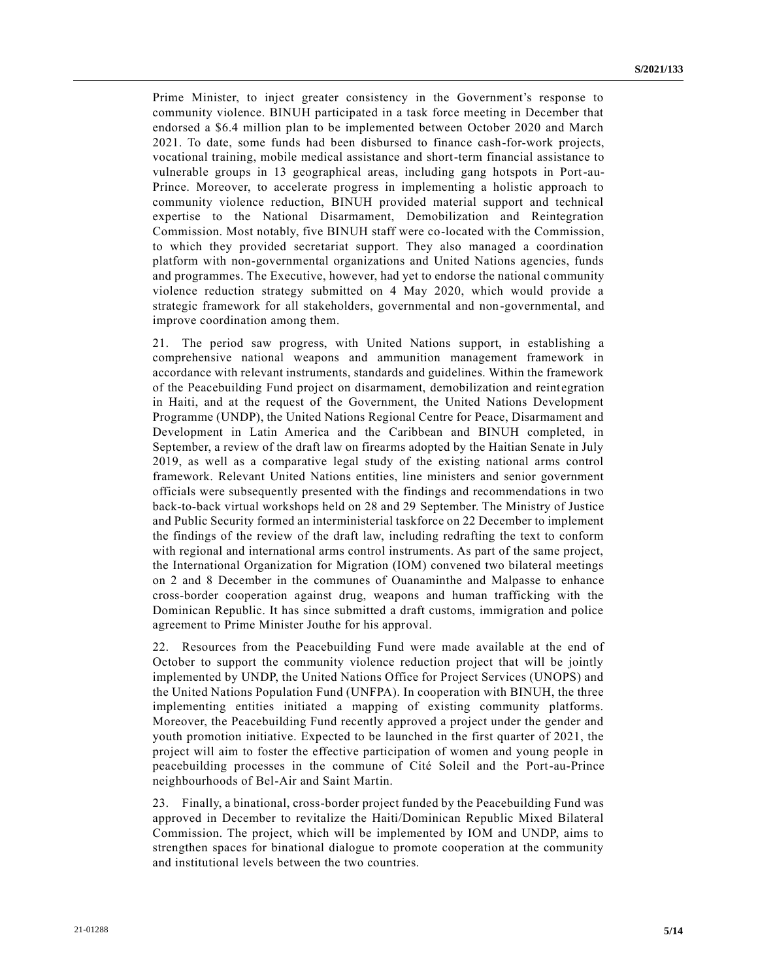Prime Minister, to inject greater consistency in the Government's response to community violence. BINUH participated in a task force meeting in December that endorsed a \$6.4 million plan to be implemented between October 2020 and March 2021. To date, some funds had been disbursed to finance cash-for-work projects, vocational training, mobile medical assistance and short-term financial assistance to vulnerable groups in 13 geographical areas, including gang hotspots in Port-au-Prince. Moreover, to accelerate progress in implementing a holistic approach to community violence reduction, BINUH provided material support and technical expertise to the National Disarmament, Demobilization and Reintegration Commission. Most notably, five BINUH staff were co-located with the Commission, to which they provided secretariat support. They also managed a coordination platform with non-governmental organizations and United Nations agencies, funds and programmes. The Executive, however, had yet to endorse the national community violence reduction strategy submitted on 4 May 2020, which would provide a strategic framework for all stakeholders, governmental and non-governmental, and improve coordination among them.

21. The period saw progress, with United Nations support, in establishing a comprehensive national weapons and ammunition management framework in accordance with relevant instruments, standards and guidelines. Within the framework of the Peacebuilding Fund project on disarmament, demobilization and reint egration in Haiti, and at the request of the Government, the United Nations Development Programme (UNDP), the United Nations Regional Centre for Peace, Disarmament and Development in Latin America and the Caribbean and BINUH completed, in September, a review of the draft law on firearms adopted by the Haitian Senate in July 2019, as well as a comparative legal study of the existing national arms control framework. Relevant United Nations entities, line ministers and senior government officials were subsequently presented with the findings and recommendations in two back-to-back virtual workshops held on 28 and 29 September. The Ministry of Justice and Public Security formed an interministerial taskforce on 22 December to implement the findings of the review of the draft law, including redrafting the text to conform with regional and international arms control instruments. As part of the same project, the International Organization for Migration (IOM) convened two bilateral meetings on 2 and 8 December in the communes of Ouanaminthe and Malpasse to enhance cross-border cooperation against drug, weapons and human trafficking with the Dominican Republic. It has since submitted a draft customs, immigration and police agreement to Prime Minister Jouthe for his approval.

22. Resources from the Peacebuilding Fund were made available at the end of October to support the community violence reduction project that will be jointly implemented by UNDP, the United Nations Office for Project Services (UNOPS) and the United Nations Population Fund (UNFPA). In cooperation with BINUH, the three implementing entities initiated a mapping of existing community platforms. Moreover, the Peacebuilding Fund recently approved a project under the gender and youth promotion initiative. Expected to be launched in the first quarter of 2021, the project will aim to foster the effective participation of women and young people in peacebuilding processes in the commune of Cité Soleil and the Port-au-Prince neighbourhoods of Bel-Air and Saint Martin.

23. Finally, a binational, cross-border project funded by the Peacebuilding Fund was approved in December to revitalize the Haiti/Dominican Republic Mixed Bilateral Commission. The project, which will be implemented by IOM and UNDP, aims to strengthen spaces for binational dialogue to promote cooperation at the community and institutional levels between the two countries.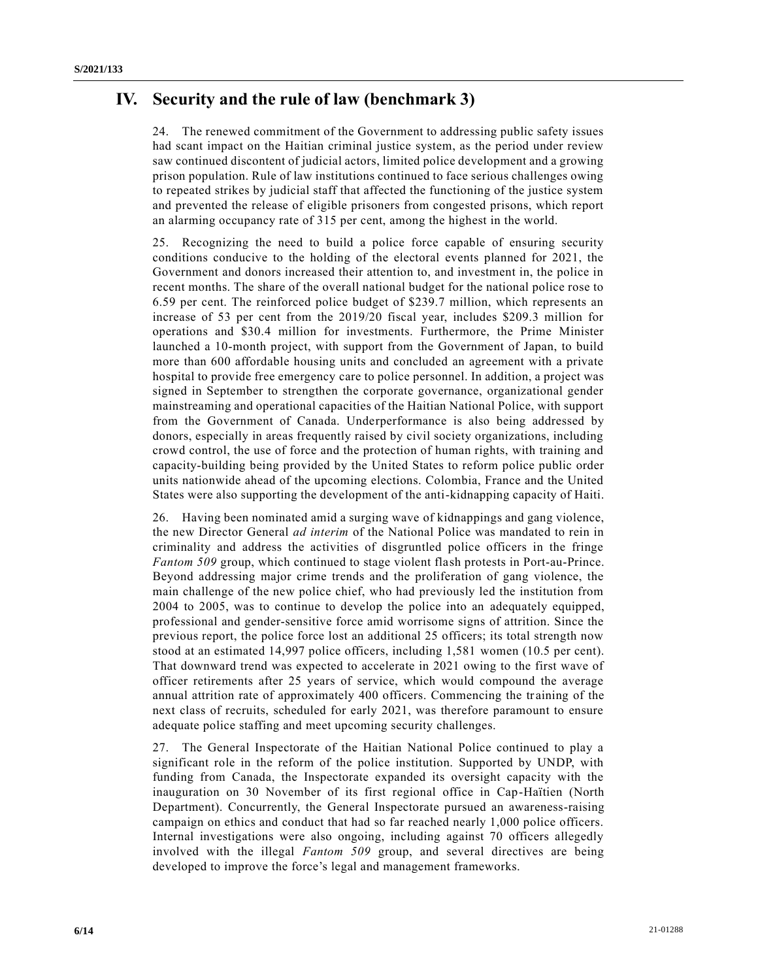## **IV. Security and the rule of law (benchmark 3)**

24. The renewed commitment of the Government to addressing public safety issues had scant impact on the Haitian criminal justice system, as the period under review saw continued discontent of judicial actors, limited police development and a growing prison population. Rule of law institutions continued to face serious challenges owing to repeated strikes by judicial staff that affected the functioning of the justice system and prevented the release of eligible prisoners from congested prisons, which report an alarming occupancy rate of 315 per cent, among the highest in the world.

25. Recognizing the need to build a police force capable of ensuring security conditions conducive to the holding of the electoral events planned for 2021, the Government and donors increased their attention to, and investment in, the police in recent months. The share of the overall national budget for the national police rose to 6.59 per cent. The reinforced police budget of \$239.7 million, which represents an increase of 53 per cent from the 2019/20 fiscal year, includes \$209.3 million for operations and \$30.4 million for investments. Furthermore, the Prime Minister launched a 10-month project, with support from the Government of Japan, to build more than 600 affordable housing units and concluded an agreement with a private hospital to provide free emergency care to police personnel. In addition, a project was signed in September to strengthen the corporate governance, organizational gender mainstreaming and operational capacities of the Haitian National Police, with support from the Government of Canada. Underperformance is also being addressed by donors, especially in areas frequently raised by civil society organizations, including crowd control, the use of force and the protection of human rights, with training and capacity-building being provided by the United States to reform police public order units nationwide ahead of the upcoming elections. Colombia, France and the United States were also supporting the development of the anti-kidnapping capacity of Haiti.

26. Having been nominated amid a surging wave of kidnappings and gang violence, the new Director General *ad interim* of the National Police was mandated to rein in criminality and address the activities of disgruntled police officers in the fringe *Fantom 509* group, which continued to stage violent flash protests in Port-au-Prince. Beyond addressing major crime trends and the proliferation of gang violence, the main challenge of the new police chief, who had previously led the institution from 2004 to 2005, was to continue to develop the police into an adequately equipped, professional and gender-sensitive force amid worrisome signs of attrition. Since the previous report, the police force lost an additional 25 officers; its total strength now stood at an estimated 14,997 police officers, including 1,581 women (10.5 per cent). That downward trend was expected to accelerate in 2021 owing to the first wave of officer retirements after 25 years of service, which would compound the average annual attrition rate of approximately 400 officers. Commencing the training of the next class of recruits, scheduled for early 2021, was therefore paramount to ensure adequate police staffing and meet upcoming security challenges.

27. The General Inspectorate of the Haitian National Police continued to play a significant role in the reform of the police institution. Supported by UNDP, with funding from Canada, the Inspectorate expanded its oversight capacity with the inauguration on 30 November of its first regional office in Cap-Haïtien (North Department). Concurrently, the General Inspectorate pursued an awareness-raising campaign on ethics and conduct that had so far reached nearly 1,000 police officers. Internal investigations were also ongoing, including against 70 officers allegedly involved with the illegal *Fantom 509* group, and several directives are being developed to improve the force's legal and management frameworks.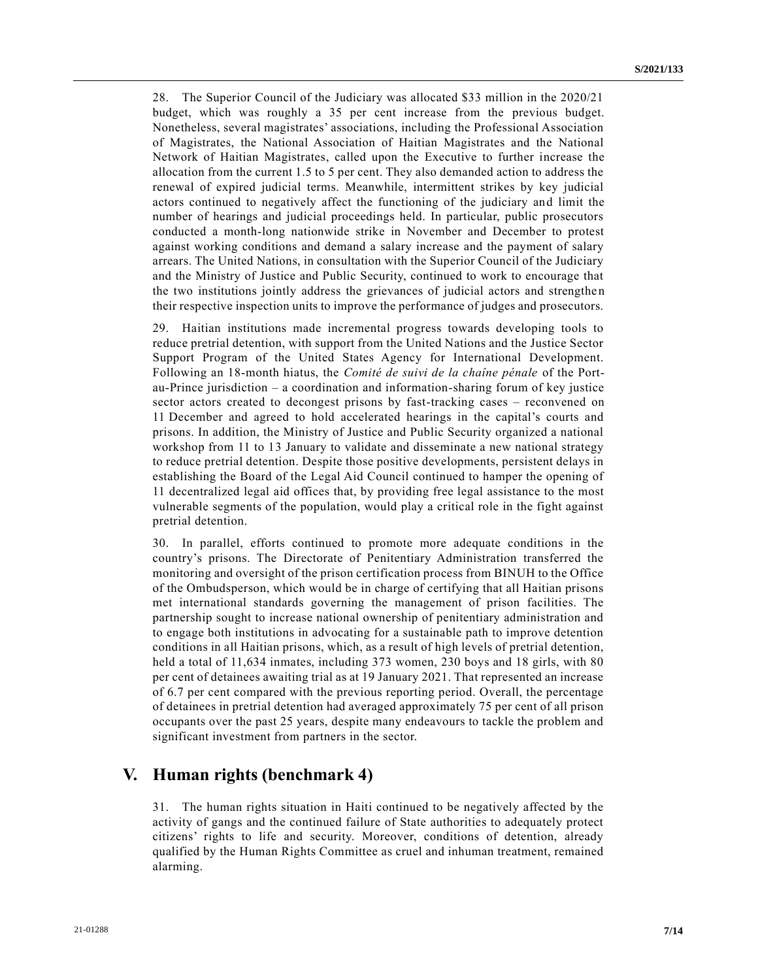28. The Superior Council of the Judiciary was allocated \$33 million in the 2020/21 budget, which was roughly a 35 per cent increase from the previous budget. Nonetheless, several magistrates' associations, including the Professional Association of Magistrates, the National Association of Haitian Magistrates and the National Network of Haitian Magistrates, called upon the Executive to further increase the allocation from the current 1.5 to 5 per cent. They also demanded action to address the renewal of expired judicial terms. Meanwhile, intermittent strikes by key judicial actors continued to negatively affect the functioning of the judiciary and limit the number of hearings and judicial proceedings held. In particular, public prosecutors conducted a month-long nationwide strike in November and December to protest against working conditions and demand a salary increase and the payment of salary arrears. The United Nations, in consultation with the Superior Council of the Judiciary and the Ministry of Justice and Public Security, continued to work to encourage that the two institutions jointly address the grievances of judicial actors and strengthe n their respective inspection units to improve the performance of judges and prosecutors.

29. Haitian institutions made incremental progress towards developing tools to reduce pretrial detention, with support from the United Nations and the Justice Sector Support Program of the United States Agency for International Development. Following an 18-month hiatus, the *Comité de suivi de la chaîne pénale* of the Portau-Prince jurisdiction – a coordination and information-sharing forum of key justice sector actors created to decongest prisons by fast-tracking cases – reconvened on 11 December and agreed to hold accelerated hearings in the capital's courts and prisons. In addition, the Ministry of Justice and Public Security organized a national workshop from 11 to 13 January to validate and disseminate a new national strategy to reduce pretrial detention. Despite those positive developments, persistent delays in establishing the Board of the Legal Aid Council continued to hamper the opening of 11 decentralized legal aid offices that, by providing free legal assistance to the most vulnerable segments of the population, would play a critical role in the fight against pretrial detention.

30. In parallel, efforts continued to promote more adequate conditions in the country's prisons. The Directorate of Penitentiary Administration transferred the monitoring and oversight of the prison certification process from BINUH to the Office of the Ombudsperson, which would be in charge of certifying that all Haitian prisons met international standards governing the management of prison facilities. The partnership sought to increase national ownership of penitentiary administration and to engage both institutions in advocating for a sustainable path to improve detention conditions in all Haitian prisons, which, as a result of high levels of pretrial detention, held a total of 11,634 inmates, including 373 women, 230 boys and 18 girls, with 80 per cent of detainees awaiting trial as at 19 January 2021. That represented an increase of 6.7 per cent compared with the previous reporting period. Overall, the percentage of detainees in pretrial detention had averaged approximately 75 per cent of all prison occupants over the past 25 years, despite many endeavours to tackle the problem and significant investment from partners in the sector.

## **V. Human rights (benchmark 4)**

31. The human rights situation in Haiti continued to be negatively affected by the activity of gangs and the continued failure of State authorities to adequately protect citizens' rights to life and security. Moreover, conditions of detention, already qualified by the Human Rights Committee as cruel and inhuman treatment, remained alarming.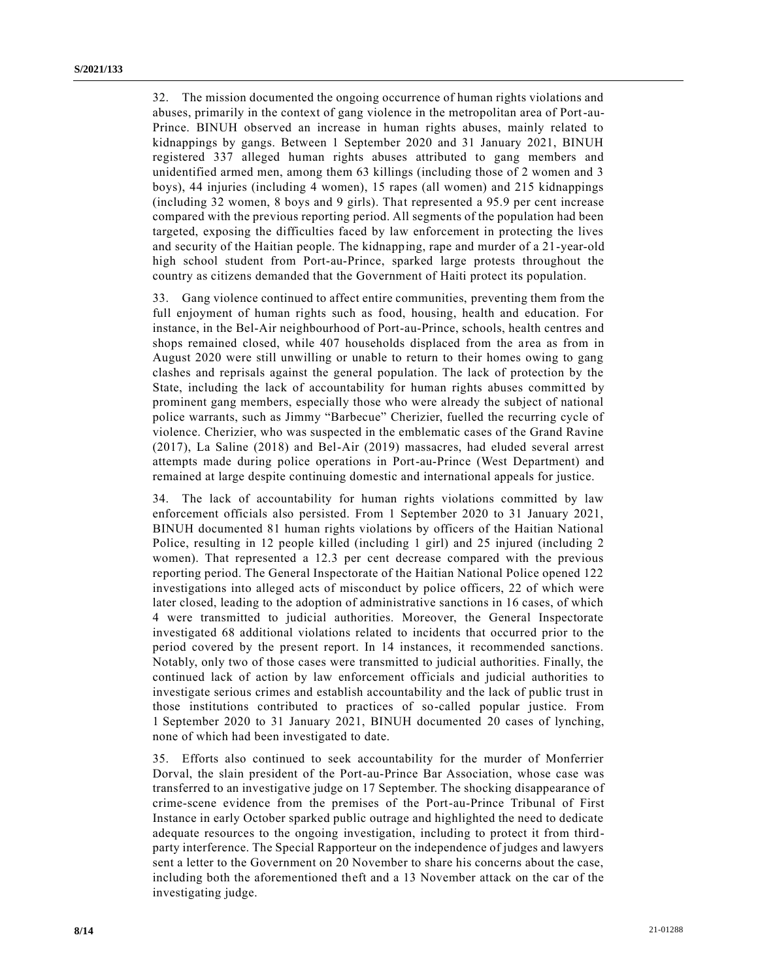32. The mission documented the ongoing occurrence of human rights violations and abuses, primarily in the context of gang violence in the metropolitan area of Port-au-Prince. BINUH observed an increase in human rights abuses, mainly related to kidnappings by gangs. Between 1 September 2020 and 31 January 2021, BINUH registered 337 alleged human rights abuses attributed to gang members and unidentified armed men, among them 63 killings (including those of 2 women and 3 boys), 44 injuries (including 4 women), 15 rapes (all women) and 215 kidnappings (including 32 women, 8 boys and 9 girls). That represented a 95.9 per cent increase compared with the previous reporting period. All segments of the population had been targeted, exposing the difficulties faced by law enforcement in protecting the lives and security of the Haitian people. The kidnapping, rape and murder of a 21-year-old high school student from Port-au-Prince, sparked large protests throughout the country as citizens demanded that the Government of Haiti protect its population.

33. Gang violence continued to affect entire communities, preventing them from the full enjoyment of human rights such as food, housing, health and education. For instance, in the Bel-Air neighbourhood of Port-au-Prince, schools, health centres and shops remained closed, while 407 households displaced from the area as from in August 2020 were still unwilling or unable to return to their homes owing to gang clashes and reprisals against the general population. The lack of protection by the State, including the lack of accountability for human rights abuses committed by prominent gang members, especially those who were already the subject of national police warrants, such as Jimmy "Barbecue" Cherizier, fuelled the recurring cycle of violence. Cherizier, who was suspected in the emblematic cases of the Grand Ravine (2017), La Saline (2018) and Bel-Air (2019) massacres, had eluded several arrest attempts made during police operations in Port-au-Prince (West Department) and remained at large despite continuing domestic and international appeals for justice.

34. The lack of accountability for human rights violations committed by law enforcement officials also persisted. From 1 September 2020 to 31 January 2021, BINUH documented 81 human rights violations by officers of the Haitian National Police, resulting in 12 people killed (including 1 girl) and 25 injured (including 2 women). That represented a 12.3 per cent decrease compared with the previous reporting period. The General Inspectorate of the Haitian National Police opened 122 investigations into alleged acts of misconduct by police officers, 22 of which were later closed, leading to the adoption of administrative sanctions in 16 cases, of which 4 were transmitted to judicial authorities. Moreover, the General Inspectorate investigated 68 additional violations related to incidents that occurred prior to the period covered by the present report. In 14 instances, it recommended sanctions. Notably, only two of those cases were transmitted to judicial authorities. Finally, the continued lack of action by law enforcement officials and judicial authorities to investigate serious crimes and establish accountability and the lack of public trust in those institutions contributed to practices of so-called popular justice. From 1 September 2020 to 31 January 2021, BINUH documented 20 cases of lynching, none of which had been investigated to date.

35. Efforts also continued to seek accountability for the murder of Monferrier Dorval, the slain president of the Port-au-Prince Bar Association, whose case was transferred to an investigative judge on 17 September. The shocking disappearance of crime-scene evidence from the premises of the Port-au-Prince Tribunal of First Instance in early October sparked public outrage and highlighted the need to dedicate adequate resources to the ongoing investigation, including to protect it from thirdparty interference. The Special Rapporteur on the independence of judges and lawyers sent a letter to the Government on 20 November to share his concerns about the case, including both the aforementioned theft and a 13 November attack on the car of the investigating judge.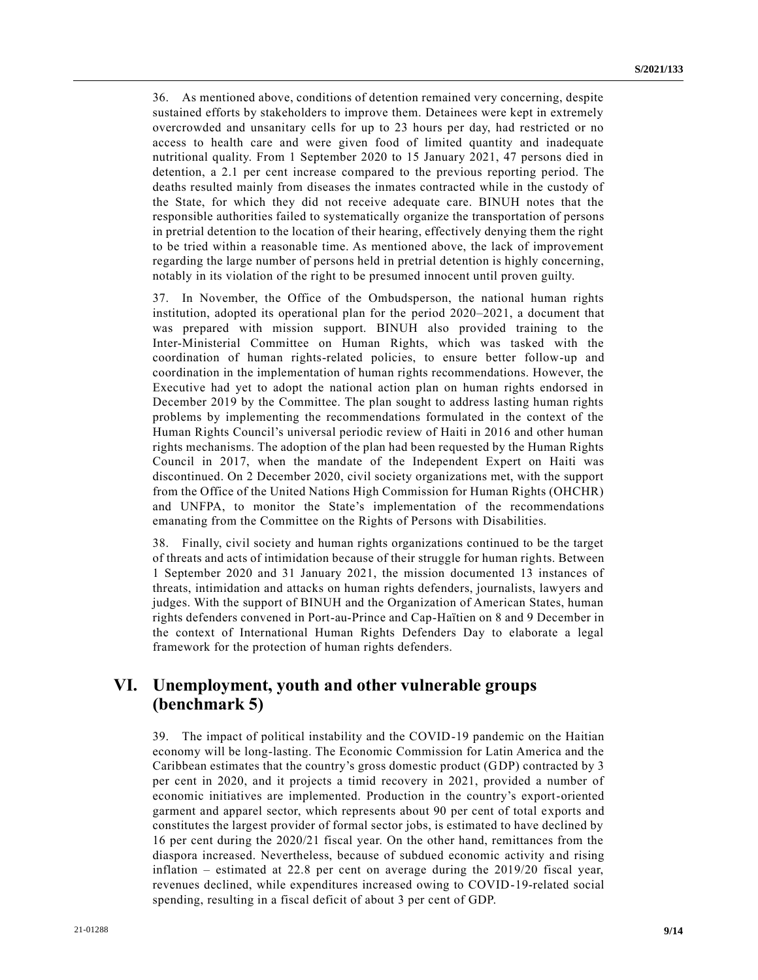36. As mentioned above, conditions of detention remained very concerning, despite sustained efforts by stakeholders to improve them. Detainees were kept in extremely overcrowded and unsanitary cells for up to 23 hours per day, had restricted or no access to health care and were given food of limited quantity and inadequate nutritional quality. From 1 September 2020 to 15 January 2021, 47 persons died in detention, a 2.1 per cent increase compared to the previous reporting period. The deaths resulted mainly from diseases the inmates contracted while in the custody of the State, for which they did not receive adequate care. BINUH notes that the responsible authorities failed to systematically organize the transportation of persons in pretrial detention to the location of their hearing, effectively denying them the right to be tried within a reasonable time. As mentioned above, the lack of improvement regarding the large number of persons held in pretrial detention is highly concerning, notably in its violation of the right to be presumed innocent until proven guilty.

37. In November, the Office of the Ombudsperson, the national human rights institution, adopted its operational plan for the period 2020–2021, a document that was prepared with mission support. BINUH also provided training to the Inter-Ministerial Committee on Human Rights, which was tasked with the coordination of human rights-related policies, to ensure better follow-up and coordination in the implementation of human rights recommendations. However, the Executive had yet to adopt the national action plan on human rights endorsed in December 2019 by the Committee. The plan sought to address lasting human rights problems by implementing the recommendations formulated in the context of the Human Rights Council's universal periodic review of Haiti in 2016 and other human rights mechanisms. The adoption of the plan had been requested by the Human Rights Council in 2017, when the mandate of the Independent Expert on Haiti was discontinued. On 2 December 2020, civil society organizations met, with the support from the Office of the United Nations High Commission for Human Rights (OHCHR) and UNFPA, to monitor the State's implementation of the recommendations emanating from the Committee on the Rights of Persons with Disabilities.

38. Finally, civil society and human rights organizations continued to be the target of threats and acts of intimidation because of their struggle for human rights. Between 1 September 2020 and 31 January 2021, the mission documented 13 instances of threats, intimidation and attacks on human rights defenders, journalists, lawyers and judges. With the support of BINUH and the Organization of American States, human rights defenders convened in Port-au-Prince and Cap-Haïtien on 8 and 9 December in the context of International Human Rights Defenders Day to elaborate a legal framework for the protection of human rights defenders.

## **VI. Unemployment, youth and other vulnerable groups (benchmark 5)**

39. The impact of political instability and the COVID-19 pandemic on the Haitian economy will be long-lasting. The Economic Commission for Latin America and the Caribbean estimates that the country's gross domestic product (GDP) contracted by 3 per cent in 2020, and it projects a timid recovery in 2021, provided a number of economic initiatives are implemented. Production in the country's export-oriented garment and apparel sector, which represents about 90 per cent of total exports and constitutes the largest provider of formal sector jobs, is estimated to have declined by 16 per cent during the 2020/21 fiscal year. On the other hand, remittances from the diaspora increased. Nevertheless, because of subdued economic activity and rising inflation – estimated at 22.8 per cent on average during the 2019/20 fiscal year, revenues declined, while expenditures increased owing to COVID-19-related social spending, resulting in a fiscal deficit of about 3 per cent of GDP.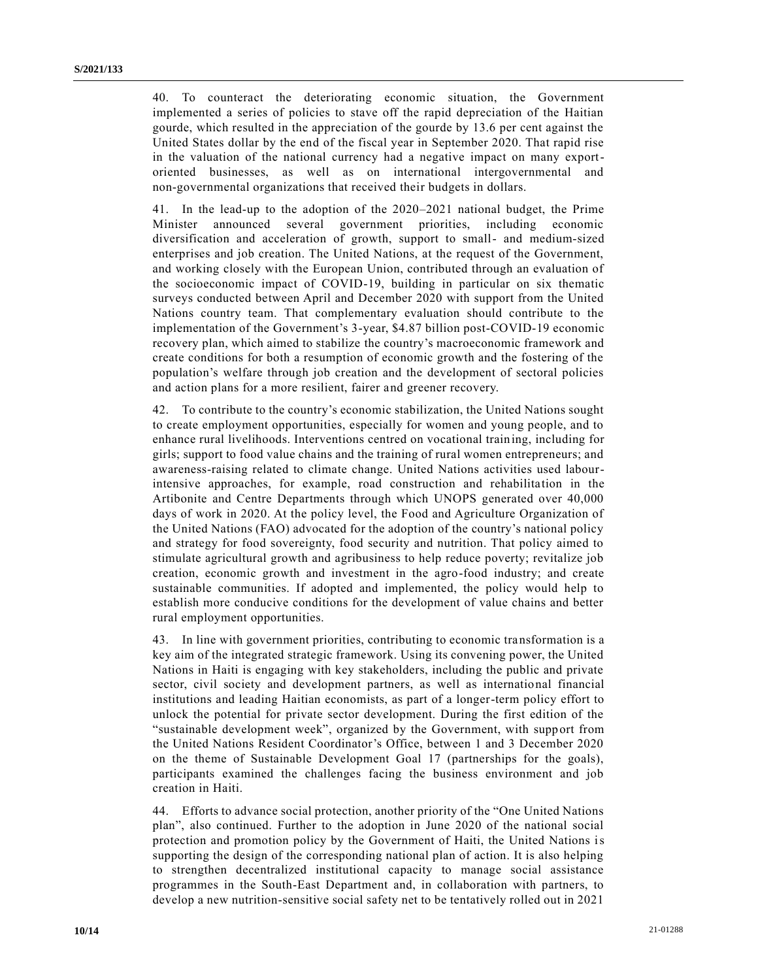40. To counteract the deteriorating economic situation, the Government implemented a series of policies to stave off the rapid depreciation of the Haitian gourde, which resulted in the appreciation of the gourde by 13.6 per cent against the United States dollar by the end of the fiscal year in September 2020. That rapid rise in the valuation of the national currency had a negative impact on many exportoriented businesses, as well as on international intergovernmental and non-governmental organizations that received their budgets in dollars.

41. In the lead-up to the adoption of the 2020–2021 national budget, the Prime Minister announced several government priorities, including economic diversification and acceleration of growth, support to small- and medium-sized enterprises and job creation. The United Nations, at the request of the Government, and working closely with the European Union, contributed through an evaluation of the socioeconomic impact of COVID-19, building in particular on six thematic surveys conducted between April and December 2020 with support from the United Nations country team. That complementary evaluation should contribute to the implementation of the Government's 3-year, \$4.87 billion post-COVID-19 economic recovery plan, which aimed to stabilize the country's macroeconomic framework and create conditions for both a resumption of economic growth and the fostering of the population's welfare through job creation and the development of sectoral policies and action plans for a more resilient, fairer and greener recovery.

42. To contribute to the country's economic stabilization, the United Nations sought to create employment opportunities, especially for women and young people, and to enhance rural livelihoods. Interventions centred on vocational training, including for girls; support to food value chains and the training of rural women entrepreneurs; and awareness-raising related to climate change. United Nations activities used labourintensive approaches, for example, road construction and rehabilitation in the Artibonite and Centre Departments through which UNOPS generated over 40,000 days of work in 2020. At the policy level, the Food and Agriculture Organization of the United Nations (FAO) advocated for the adoption of the country's national policy and strategy for food sovereignty, food security and nutrition. That policy aimed to stimulate agricultural growth and agribusiness to help reduce poverty; revitalize job creation, economic growth and investment in the agro-food industry; and create sustainable communities. If adopted and implemented, the policy would help to establish more conducive conditions for the development of value chains and better rural employment opportunities.

43. In line with government priorities, contributing to economic transformation is a key aim of the integrated strategic framework. Using its convening power, the United Nations in Haiti is engaging with key stakeholders, including the public and private sector, civil society and development partners, as well as international financial institutions and leading Haitian economists, as part of a longer-term policy effort to unlock the potential for private sector development. During the first edition of the "sustainable development week", organized by the Government, with supp ort from the United Nations Resident Coordinator's Office, between 1 and 3 December 2020 on the theme of Sustainable Development Goal 17 (partnerships for the goals), participants examined the challenges facing the business environment and job creation in Haiti.

44. Efforts to advance social protection, another priority of the "One United Nations plan", also continued. Further to the adoption in June 2020 of the national social protection and promotion policy by the Government of Haiti, the United Nations is supporting the design of the corresponding national plan of action. It is also helping to strengthen decentralized institutional capacity to manage social assistance programmes in the South-East Department and, in collaboration with partners, to develop a new nutrition-sensitive social safety net to be tentatively rolled out in 2021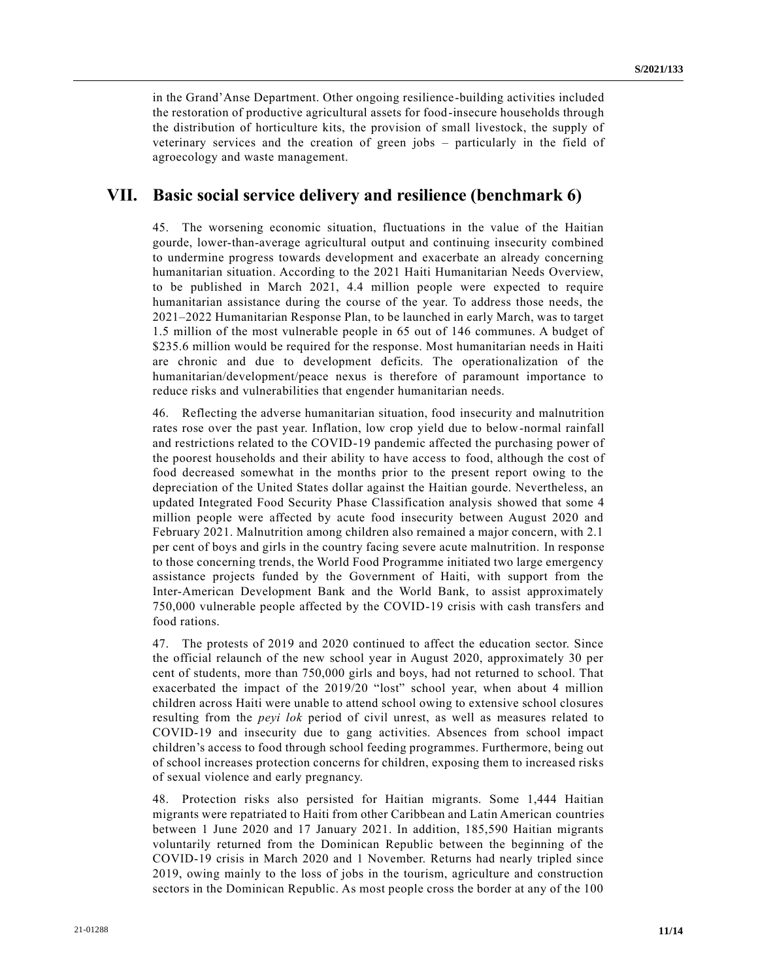in the Grand'Anse Department. Other ongoing resilience-building activities included the restoration of productive agricultural assets for food-insecure households through the distribution of horticulture kits, the provision of small livestock, the supply of veterinary services and the creation of green jobs – particularly in the field of agroecology and waste management.

#### **VII. Basic social service delivery and resilience (benchmark 6)**

45. The worsening economic situation, fluctuations in the value of the Haitian gourde, lower-than-average agricultural output and continuing insecurity combined to undermine progress towards development and exacerbate an already concerning humanitarian situation. According to the 2021 Haiti Humanitarian Needs Overview, to be published in March 2021, 4.4 million people were expected to require humanitarian assistance during the course of the year. To address those needs, the 2021–2022 Humanitarian Response Plan, to be launched in early March, was to target 1.5 million of the most vulnerable people in 65 out of 146 communes. A budget of \$235.6 million would be required for the response. Most humanitarian needs in Haiti are chronic and due to development deficits. The operationalization of the humanitarian/development/peace nexus is therefore of paramount importance to reduce risks and vulnerabilities that engender humanitarian needs.

46. Reflecting the adverse humanitarian situation, food insecurity and malnutrition rates rose over the past year. Inflation, low crop yield due to below-normal rainfall and restrictions related to the COVID-19 pandemic affected the purchasing power of the poorest households and their ability to have access to food, although the cost of food decreased somewhat in the months prior to the present report owing to the depreciation of the United States dollar against the Haitian gourde. Nevertheless, an updated Integrated Food Security Phase Classification analysis showed that some 4 million people were affected by acute food insecurity between August 2020 and February 2021. Malnutrition among children also remained a major concern, with 2.1 per cent of boys and girls in the country facing severe acute malnutrition. In response to those concerning trends, the World Food Programme initiated two large emergency assistance projects funded by the Government of Haiti, with support from the Inter-American Development Bank and the World Bank, to assist approximately 750,000 vulnerable people affected by the COVID-19 crisis with cash transfers and food rations.

47. The protests of 2019 and 2020 continued to affect the education sector. Since the official relaunch of the new school year in August 2020, approximately 30 per cent of students, more than 750,000 girls and boys, had not returned to school. That exacerbated the impact of the 2019/20 "lost" school year, when about 4 million children across Haiti were unable to attend school owing to extensive school closures resulting from the *peyi lok* period of civil unrest, as well as measures related to COVID-19 and insecurity due to gang activities. Absences from school impact children's access to food through school feeding programmes. Furthermore, being out of school increases protection concerns for children, exposing them to increased risks of sexual violence and early pregnancy.

48. Protection risks also persisted for Haitian migrants. Some 1,444 Haitian migrants were repatriated to Haiti from other Caribbean and Latin American countries between 1 June 2020 and 17 January 2021. In addition, 185,590 Haitian migrants voluntarily returned from the Dominican Republic between the beginning of the COVID-19 crisis in March 2020 and 1 November. Returns had nearly tripled since 2019, owing mainly to the loss of jobs in the tourism, agriculture and construction sectors in the Dominican Republic. As most people cross the border at any of the 100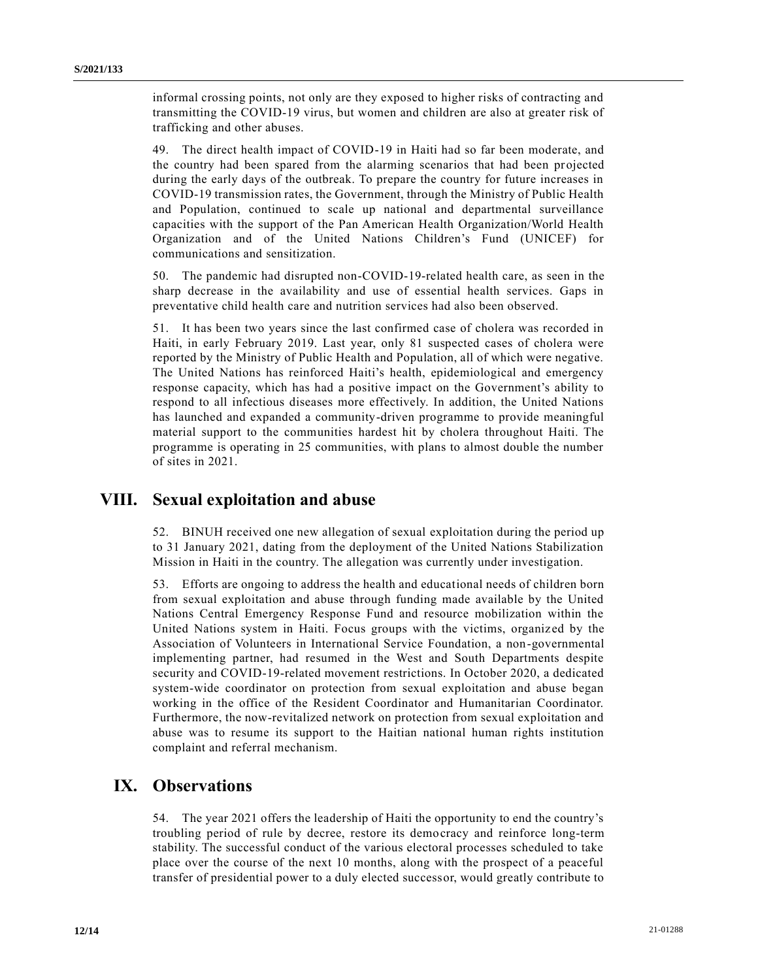informal crossing points, not only are they exposed to higher risks of contracting and transmitting the COVID-19 virus, but women and children are also at greater risk of trafficking and other abuses.

49. The direct health impact of COVID-19 in Haiti had so far been moderate, and the country had been spared from the alarming scenarios that had been projected during the early days of the outbreak. To prepare the country for future increases in COVID-19 transmission rates, the Government, through the Ministry of Public Health and Population, continued to scale up national and departmental surveillance capacities with the support of the Pan American Health Organization/World Health Organization and of the United Nations Children's Fund (UNICEF) for communications and sensitization.

50. The pandemic had disrupted non-COVID-19-related health care, as seen in the sharp decrease in the availability and use of essential health services. Gaps in preventative child health care and nutrition services had also been observed.

51. It has been two years since the last confirmed case of cholera was recorded in Haiti, in early February 2019. Last year, only 81 suspected cases of cholera were reported by the Ministry of Public Health and Population, all of which were negative. The United Nations has reinforced Haiti's health, epidemiological and emergency response capacity, which has had a positive impact on the Government's ability to respond to all infectious diseases more effectively. In addition, the United Nations has launched and expanded a community-driven programme to provide meaningful material support to the communities hardest hit by cholera throughout Haiti. The programme is operating in 25 communities, with plans to almost double the number of sites in 2021.

## **VIII. Sexual exploitation and abuse**

52. BINUH received one new allegation of sexual exploitation during the period up to 31 January 2021, dating from the deployment of the United Nations Stabilization Mission in Haiti in the country. The allegation was currently under investigation.

53. Efforts are ongoing to address the health and educational needs of children born from sexual exploitation and abuse through funding made available by the United Nations Central Emergency Response Fund and resource mobilization within the United Nations system in Haiti. Focus groups with the victims, organiz ed by the Association of Volunteers in International Service Foundation, a non-governmental implementing partner, had resumed in the West and South Departments despite security and COVID-19-related movement restrictions. In October 2020, a dedicated system-wide coordinator on protection from sexual exploitation and abuse began working in the office of the Resident Coordinator and Humanitarian Coordinator. Furthermore, the now-revitalized network on protection from sexual exploitation and abuse was to resume its support to the Haitian national human rights institution complaint and referral mechanism.

## **IX. Observations**

54. The year 2021 offers the leadership of Haiti the opportunity to end the country's troubling period of rule by decree, restore its democracy and reinforce long-term stability. The successful conduct of the various electoral processes scheduled to take place over the course of the next 10 months, along with the prospect of a peaceful transfer of presidential power to a duly elected successor, would greatly contribute to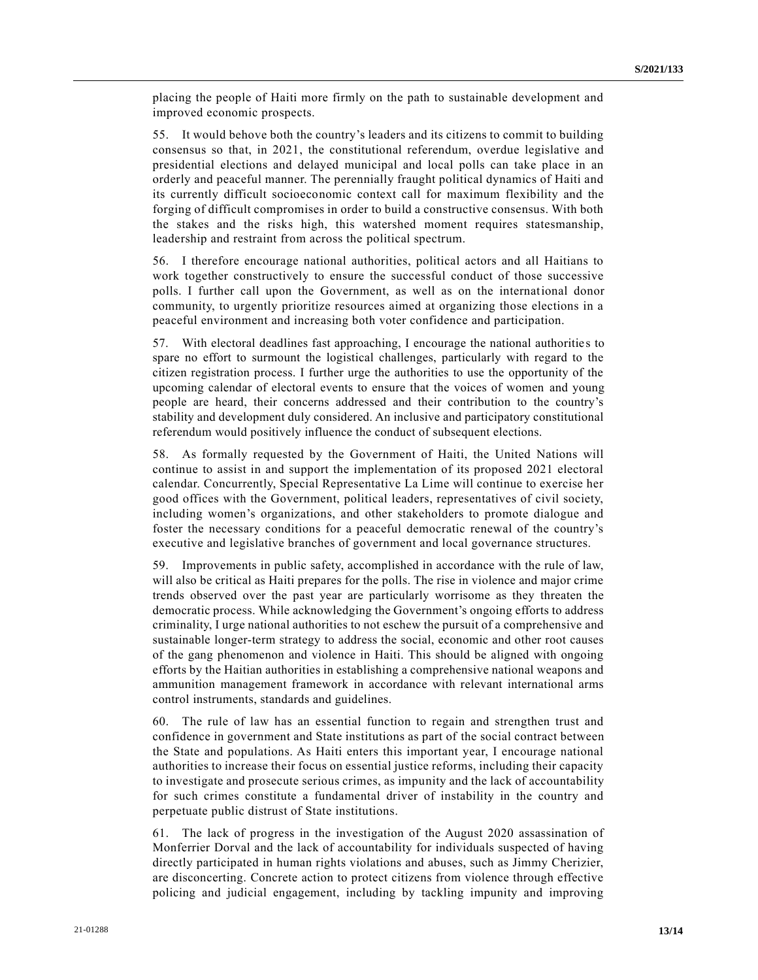placing the people of Haiti more firmly on the path to sustainable development and improved economic prospects.

55. It would behove both the country's leaders and its citizens to commit to building consensus so that, in 2021, the constitutional referendum, overdue legislative and presidential elections and delayed municipal and local polls can take place in an orderly and peaceful manner. The perennially fraught political dynamics of Haiti and its currently difficult socioeconomic context call for maximum flexibility and the forging of difficult compromises in order to build a constructive consensus. With both the stakes and the risks high, this watershed moment requires statesmanship, leadership and restraint from across the political spectrum.

56. I therefore encourage national authorities, political actors and all Haitians to work together constructively to ensure the successful conduct of those successive polls. I further call upon the Government, as well as on the international donor community, to urgently prioritize resources aimed at organizing those elections in a peaceful environment and increasing both voter confidence and participation.

57. With electoral deadlines fast approaching, I encourage the national authoritie s to spare no effort to surmount the logistical challenges, particularly with regard to the citizen registration process. I further urge the authorities to use the opportunity of the upcoming calendar of electoral events to ensure that the voices of women and young people are heard, their concerns addressed and their contribution to the country's stability and development duly considered. An inclusive and participatory constitutional referendum would positively influence the conduct of subsequent elections.

58. As formally requested by the Government of Haiti, the United Nations will continue to assist in and support the implementation of its proposed 2021 electoral calendar. Concurrently, Special Representative La Lime will continue to exercise her good offices with the Government, political leaders, representatives of civil society, including women's organizations, and other stakeholders to promote dialogue and foster the necessary conditions for a peaceful democratic renewal of the country's executive and legislative branches of government and local governance structures.

59. Improvements in public safety, accomplished in accordance with the rule of law, will also be critical as Haiti prepares for the polls. The rise in violence and major crime trends observed over the past year are particularly worrisome as they threaten the democratic process. While acknowledging the Government's ongoing efforts to address criminality, I urge national authorities to not eschew the pursuit of a comprehensive and sustainable longer-term strategy to address the social, economic and other root causes of the gang phenomenon and violence in Haiti. This should be aligned with ongoing efforts by the Haitian authorities in establishing a comprehensive national weapons and ammunition management framework in accordance with relevant international arms control instruments, standards and guidelines.

The rule of law has an essential function to regain and strengthen trust and confidence in government and State institutions as part of the social contract between the State and populations. As Haiti enters this important year, I encourage national authorities to increase their focus on essential justice reforms, including their capacity to investigate and prosecute serious crimes, as impunity and the lack of accountability for such crimes constitute a fundamental driver of instability in the country and perpetuate public distrust of State institutions.

61. The lack of progress in the investigation of the August 2020 assassination of Monferrier Dorval and the lack of accountability for individuals suspected of having directly participated in human rights violations and abuses, such as Jimmy Cherizier, are disconcerting. Concrete action to protect citizens from violence through effective policing and judicial engagement, including by tackling impunity and improving